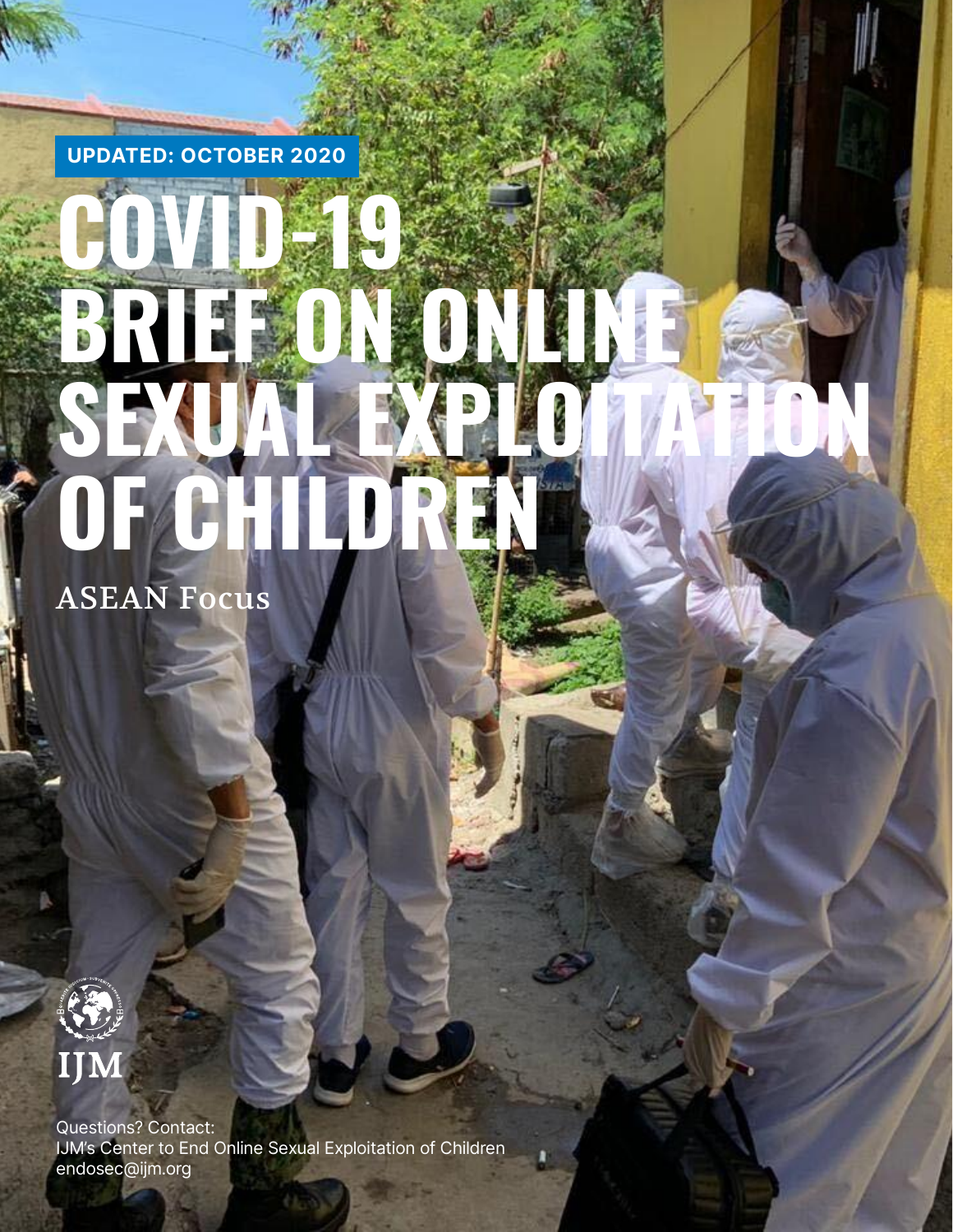UPDATED: OCTOBER 2020

# COVID-19 **BRIEF ON ONLINE**  SEXUAL EXPLOITANTION **OF**

ASEAN Focus



è

Questions? Contact: IJM's Center to End Online Sexual Exploitation of Children endosec@ijm.org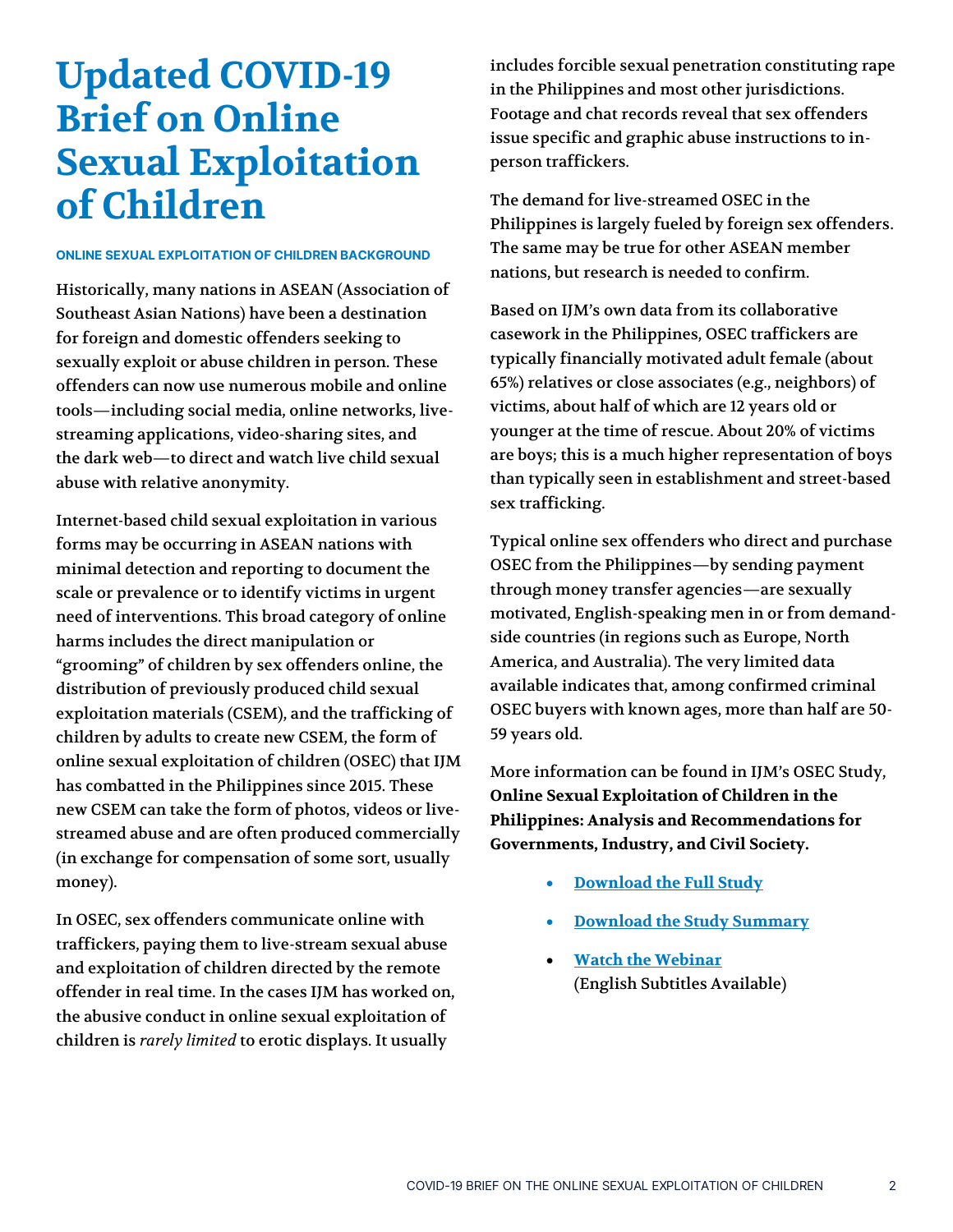### **Updated COVID-19 Brief on Online Sexual Exploitation of Children**

#### ONLINE SEXUAL EXPLOITATION OF CHILDREN BACKGROUND

Historically, many nations in ASEAN (Association of Southeast Asian Nations) have been a destination for foreign and domestic offenders seeking to sexually exploit or abuse children in person. These offenders can now use numerous mobile and online tools—including social media, online networks, livestreaming applications, video-sharing sites, and the dark web—to direct and watch live child sexual abuse with relative anonymity.

Internet-based child sexual exploitation in various forms may be occurring in ASEAN nations with minimal detection and reporting to document the scale or prevalence or to identify victims in urgent need of interventions. This broad category of online harms includes the direct manipulation or "grooming" of children by sex offenders online, the distribution of previously produced child sexual exploitation materials (CSEM), and the trafficking of children by adults to create new CSEM, the form of online sexual exploitation of children (OSEC) that IJM has combatted in the Philippines since 2015. These new CSEM can take the form of photos, videos or livestreamed abuse and are often produced commercially (in exchange for compensation of some sort, usually money).

In OSEC, sex offenders communicate online with traffickers, paying them to live-stream sexual abuse and exploitation of children directed by the remote offender in real time. In the cases IJM has worked on, the abusive conduct in online sexual exploitation of children is *rarely limited* to erotic displays. It usually

includes forcible sexual penetration constituting rape in the Philippines and most other jurisdictions. Footage and chat records reveal that sex offenders issue specific and graphic abuse instructions to inperson traffickers.

The demand for live-streamed OSEC in the Philippines is largely fueled by foreign sex offenders. The same may be true for other ASEAN member nations, but research is needed to confirm.

Based on IJM's own data from its collaborative casework in the Philippines, OSEC traffickers are typically financially motivated adult female (about 65%) relatives or close associates (e.g., neighbors) of victims, about half of which are 12 years old or younger at the time of rescue. About 20% of victims are boys; this is a much higher representation of boys than typically seen in establishment and street-based sex trafficking.

Typical online sex offenders who direct and purchase OSEC from the Philippines—by sending payment through money transfer agencies—are sexually motivated, English-speaking men in or from demandside countries (in regions such as Europe, North America, and Australia). The very limited data available indicates that, among confirmed criminal OSEC buyers with known ages, more than half are 50- 59 years old.

More information can be found in IJM's OSEC Study, **Online Sexual Exploitation of Children in the Philippines: Analysis and Recommendations for Governments, Industry, and Civil Society.** 

- **[Download the Full Study](https://www.ijm.org/documents/studies/Final-Public-Full-Report-5_20_2020.pdf)**
- **[Download the Study Summary](https://www.ijm.org/documents/studies/Final_OSEC-Public-Summary_05_20_2020.pdf)**
- **[Watch the Webinar](https://youtu.be/v2gdboQFW_Y)** (English Subtitles Available)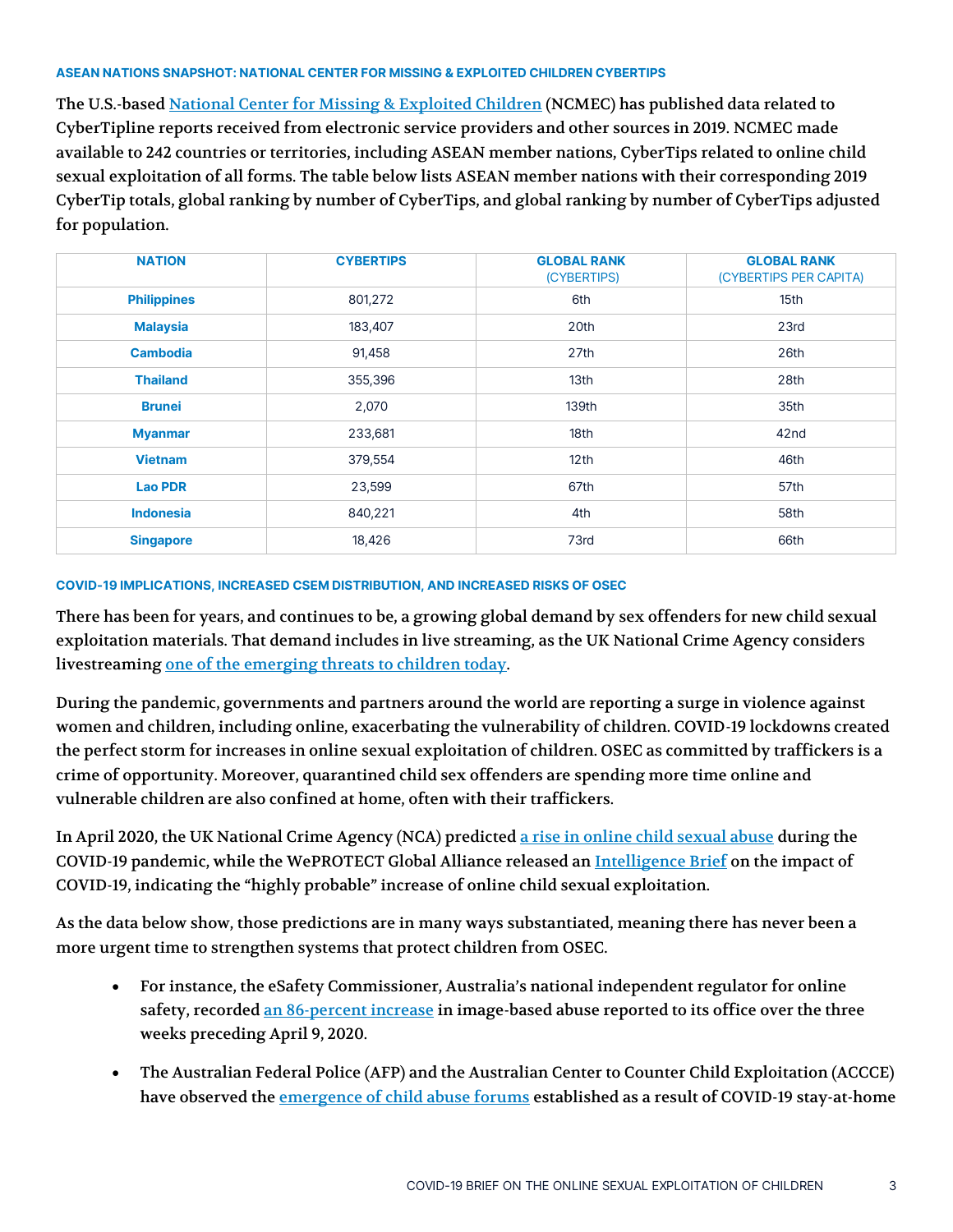#### ASEAN NATIONS SNAPSHOT: NATIONAL CENTER FOR MISSING & EXPLOITED CHILDREN CYBERTIPS

The U.S.-base[d National Center for Missing & Exploited Children](https://www.missingkids.org/gethelpnow/cybertipline#bythenumbers) (NCMEC) has published data related to CyberTipline reports received from electronic service providers and other sources in 2019. NCMEC made available to 242 countries or territories, including ASEAN member nations, CyberTips related to online child sexual exploitation of all forms. The table below lists ASEAN member nations with their corresponding 2019 CyberTip totals, global ranking by number of CyberTips, and global ranking by number of CyberTips adjusted for population.

| <b>NATION</b>      | <b>CYBERTIPS</b> | <b>GLOBAL RANK</b><br>(CYBERTIPS) | <b>GLOBAL RANK</b><br>(CYBERTIPS PER CAPITA) |
|--------------------|------------------|-----------------------------------|----------------------------------------------|
| <b>Philippines</b> | 801,272          | 6th                               | 15th                                         |
| <b>Malaysia</b>    | 183,407          | 20th                              | 23rd                                         |
| <b>Cambodia</b>    | 91,458           | 27th                              | 26th                                         |
| <b>Thailand</b>    | 355,396          | 13th                              | 28th                                         |
| <b>Brunei</b>      | 2,070            | 139th                             | 35th                                         |
| <b>Myanmar</b>     | 233,681          | 18th                              | 42 <sub>nd</sub>                             |
| <b>Vietnam</b>     | 379,554          | 12 <sup>th</sup>                  | 46th                                         |
| <b>Lao PDR</b>     | 23,599           | 67th                              | 57th                                         |
| <b>Indonesia</b>   | 840,221          | 4th                               | 58th                                         |
| <b>Singapore</b>   | 18,426           | 73rd                              | 66th                                         |

#### COVID-19 IMPLICATIONS, INCREASED CSEM DISTRIBUTION, AND INCREASED RISKS OF OSEC

There has been for years, and continues to be, a growing global demand by sex offenders for new child sexual exploitation materials. That demand includes in live streaming, as the UK National Crime Agency considers livestreaming [one of the emerging threats](https://www.iicsa.org.uk/key-documents/17805/view/internet-investigation-report-march-2020.pdf) to children today.

During the pandemic, governments and partners around the world are reporting a surge in violence against women and children, including online, exacerbating the vulnerability of children. COVID-19 lockdowns created the perfect storm for increases in online sexual exploitation of children. OSEC as committed by traffickers is a crime of opportunity. Moreover, quarantined child sex offenders are spending more time online and vulnerable children are also confined at home, often with their traffickers.

In April 2020, the UK National Crime Agency (NCA) predicted [a rise in online child sexual abuse](https://www.nationalcrimeagency.gov.uk/news/onlinesafetyathome) during the COVID-19 pandemic, while the WePROTECT Global Alliance released an [Intelligence Brief](https://static1.squarespace.com/static/5630f48de4b00a75476ecf0a/t/5ebc58d038eb072b909874ca/1589401809129/Impact+of+COVID-19+on+Online+Child+Sexual+Exploitation.pdf) on the impact of COVID-19, indicating the "highly probable" increase of online child sexual exploitation.

As the data below show, those predictions are in many ways substantiated, meaning there has never been a more urgent time to strengthen systems that protect children from OSEC.

- For instance, the eSafety Commissioner, Australia's national independent regulator for online safety, recorded <u>an 86-percent increase</u> in image-based abuse reported to its office over the three weeks preceding April 9, 2020.
- The Australian Federal Police (AFP) and the Australian Center to Counter Child Exploitation (ACCCE) have observed the <u>emergence of child abuse forums</u> established as a result of COVID-19 stay-at-home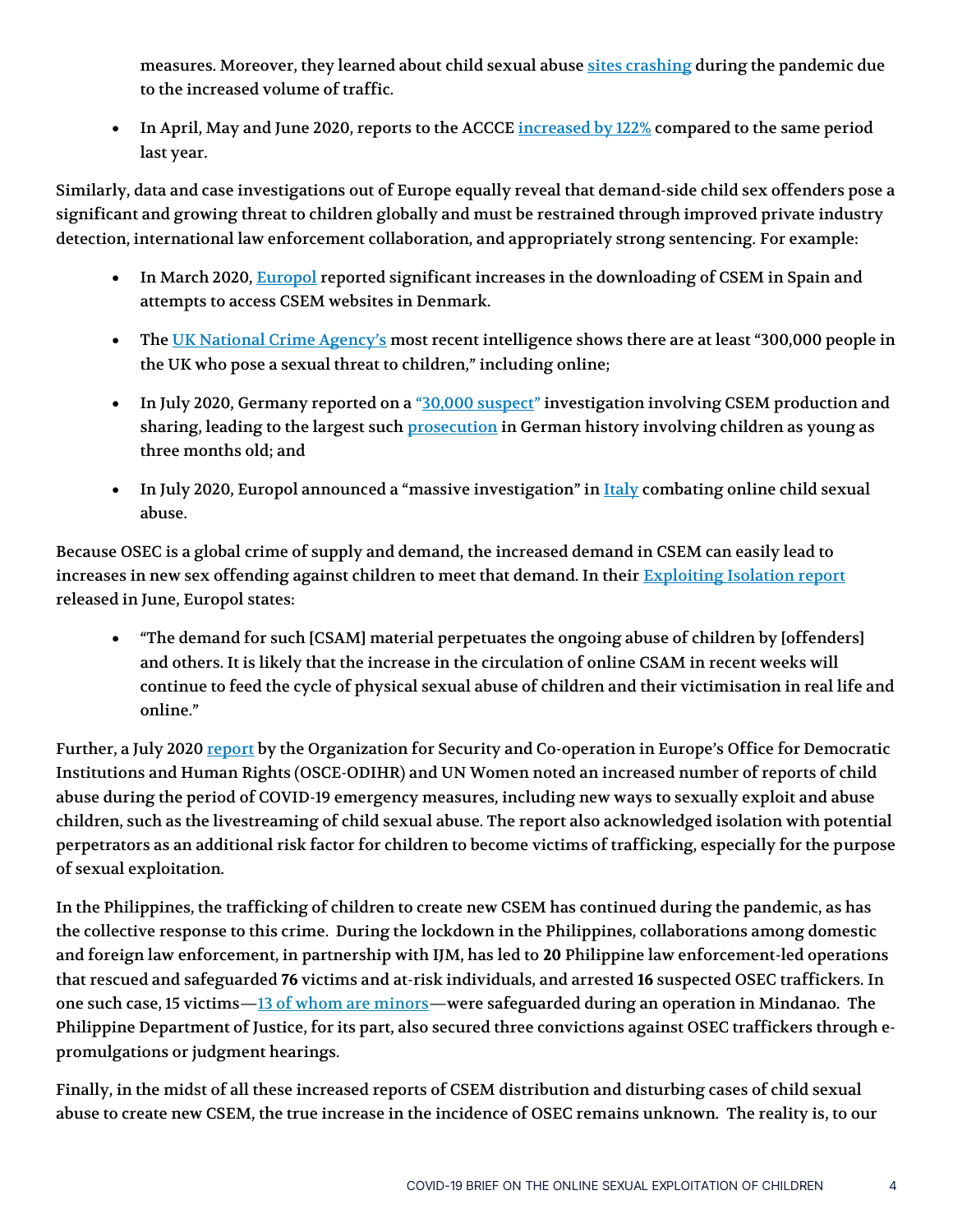measures. Moreover, they learned about child sexual abus[e sites crashing](https://www.abc.net.au/news/2020-05-20/afp-concerned-by-child-exploitation-spike-amid-coronavirus/12265544) during the pandemic due to the increased volume of traffic.

• In April, May and June 2020, reports to the ACCCE [increased by 122%](https://www.afp.gov.au/news-media/media-releases/predators-exploiting-kids-online-during-virus-second-wave) compared to the same period last year.

Similarly, data and case investigations out of Europe equally reveal that demand-side child sex offenders pose a significant and growing threat to children globally and must be restrained through improved private industry detection, international law enforcement collaboration, and appropriately strong sentencing. For example:

- In March 2020, [Europol](https://www.europol.europa.eu/newsroom/news/catching-virus) reported significant increases in the downloading of CSEM in Spain and attempts to access CSEM websites in Denmark.
- The [UK National Crime Agency's](https://www.nationalcrimeagency.gov.uk/news/onlinesafetyathome) most recent intelligence shows there are at least "300,000 people in the UK who pose a sexual threat to children," including online;
- In July 2020, Germany reported on a "[30,000 suspect](https://www.bbc.com/news/world-europe-53224444)" investigation involving CSEM production and sharing, leading to the largest such *prosecution* in German history involving children as young as three months old; and
- In July 2020, Europol announced a "massive investigation" in [Italy](https://www.europol.europa.eu/newsroom/news/massive-investigation-in-italy-combating-online-child-sexual-abuse) combating online child sexual abuse.

Because OSEC is a global crime of supply and demand, the increased demand in CSEM can easily lead to increases in new sex offending against children to meet that demand. In their **Exploiting Isolation report** released in June, Europol states:

• "The demand for such [CSAM] material perpetuates the ongoing abuse of children by [offenders] and others. It is likely that the increase in the circulation of online CSAM in recent weeks will continue to feed the cycle of physical sexual abuse of children and their victimisation in real life and online."

Further, a July 2020 [report](https://www.osce.org/odihr/human-trafficking-COVID-19-report) by the Organization for Security and Co-operation in Europe's Office for Democratic Institutions and Human Rights (OSCE-ODIHR) and UN Women noted an increased number of reports of child abuse during the period of COVID-19 emergency measures, including new ways to sexually exploit and abuse children, such as the livestreaming of child sexual abuse. The report also acknowledged isolation with potential perpetrators as an additional risk factor for children to become victims of trafficking, especially for the purpose of sexual exploitation.

In the Philippines, the trafficking of children to create new CSEM has continued during the pandemic, as has the collective response to this crime. During the lockdown in the Philippines, collaborations among domestic and foreign law enforcement, in partnership with IJM, has led to **20** Philippine law enforcement-led operations that rescued and safeguarded **76** victims and at-risk individuals, and arrested **16** suspected OSEC traffickers. In one such case, 15 victims—[13 of whom are minors](https://osec.ijm.org/news/?p=772)—were safeguarded during an operation in Mindanao. The Philippine Department of Justice, for its part, also secured three convictions against OSEC traffickers through epromulgations or judgment hearings.

Finally, in the midst of all these increased reports of CSEM distribution and disturbing cases of child sexual abuse to create new CSEM, the true increase in the incidence of OSEC remains unknown. The reality is, to our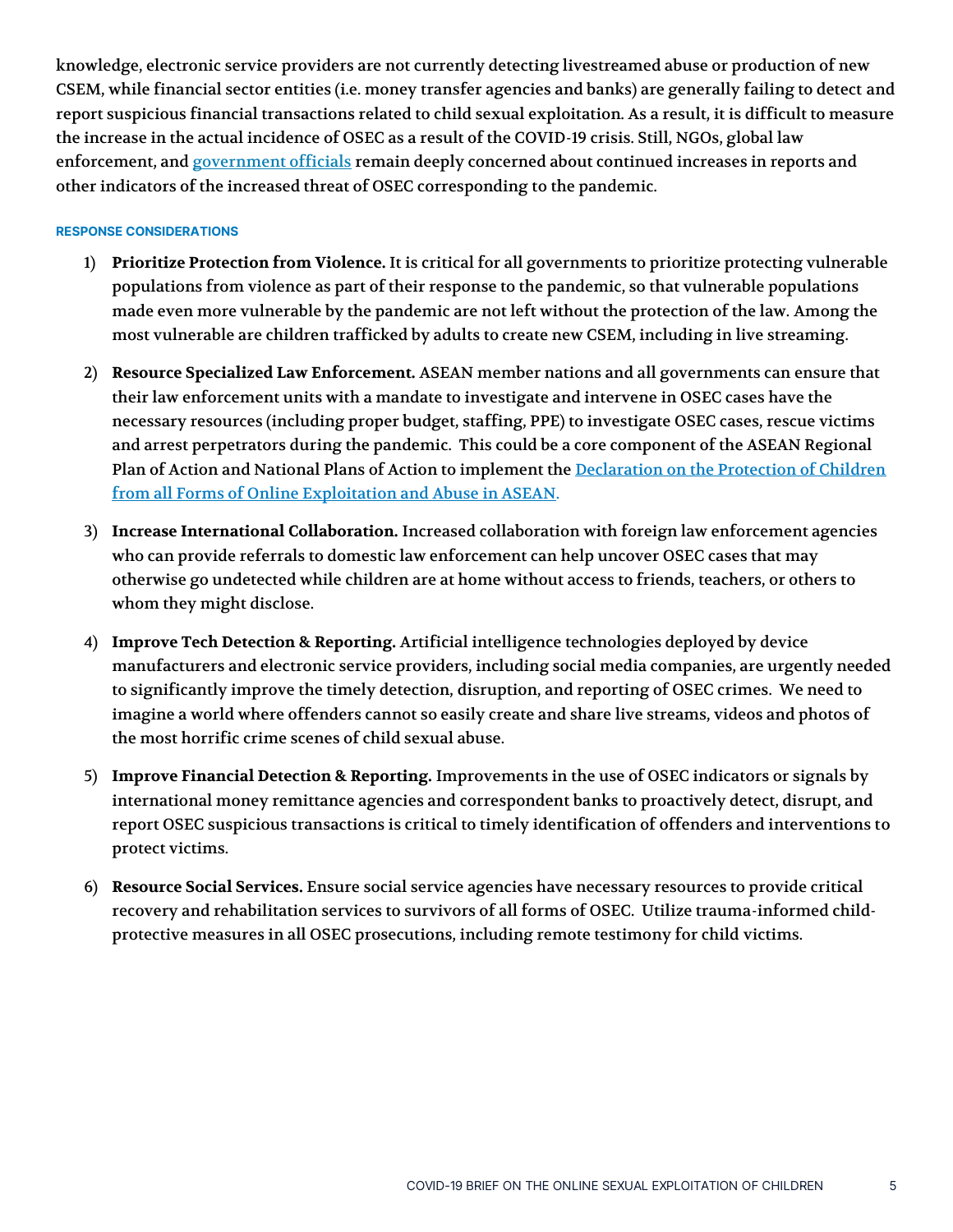knowledge, electronic service providers are not currently detecting livestreamed abuse or production of new CSEM, while financial sector entities (i.e. money transfer agencies and banks) are generally failing to detect and report suspicious financial transactions related to child sexual exploitation. As a result, it is difficult to measure the increase in the actual incidence of OSEC as a result of the COVID-19 crisis. Still, NGOs, global law enforcement, and [government officials](https://manilastandard.net/news/national/331101/yedda-probe-online-sexual-exploitation-of-kids.html) remain deeply concerned about continued increases in reports and other indicators of the increased threat of OSEC corresponding to the pandemic.

#### RESPONSE CONSIDERATIONS

- 1) **Prioritize Protection from Violence.** It is critical for all governments to prioritize protecting vulnerable populations from violence as part of their response to the pandemic, so that vulnerable populations made even more vulnerable by the pandemic are not left without the protection of the law. Among the most vulnerable are children trafficked by adults to create new CSEM, including in live streaming.
- 2) **Resource Specialized Law Enforcement.** ASEAN member nations and all governments can ensure that their law enforcement units with a mandate to investigate and intervene in OSEC cases have the necessary resources (including proper budget, staffing, PPE) to investigate OSEC cases, rescue victims and arrest perpetrators during the pandemic. This could be a core component of the ASEAN Regional Plan of Action and National Plans of Action to implement the Declaration on the Protection of Children [from all Forms of Online Exploitation and Abuse in ASEAN.](https://asean.org/storage/2019/11/3-Declaration-on-the-Protection-of-Children-from-all-Forms-of-Online-Exploitation-and-Abuse-in-ASEAN.pdf)
- 3) **Increase International Collaboration.** Increased collaboration with foreign law enforcement agencies who can provide referrals to domestic law enforcement can help uncover OSEC cases that may otherwise go undetected while children are at home without access to friends, teachers, or others to whom they might disclose.
- 4) **Improve Tech Detection & Reporting.** Artificial intelligence technologies deployed by device manufacturers and electronic service providers, including social media companies, are urgently needed to significantly improve the timely detection, disruption, and reporting of OSEC crimes. We need to imagine a world where offenders cannot so easily create and share live streams, videos and photos of the most horrific crime scenes of child sexual abuse.
- 5) **Improve Financial Detection & Reporting.** Improvements in the use of OSEC indicators or signals by international money remittance agencies and correspondent banks to proactively detect, disrupt, and report OSEC suspicious transactions is critical to timely identification of offenders and interventions to protect victims.
- 6) **Resource Social Services.** Ensure social service agencies have necessary resources to provide critical recovery and rehabilitation services to survivors of all forms of OSEC. Utilize trauma-informed childprotective measures in all OSEC prosecutions, including remote testimony for child victims.